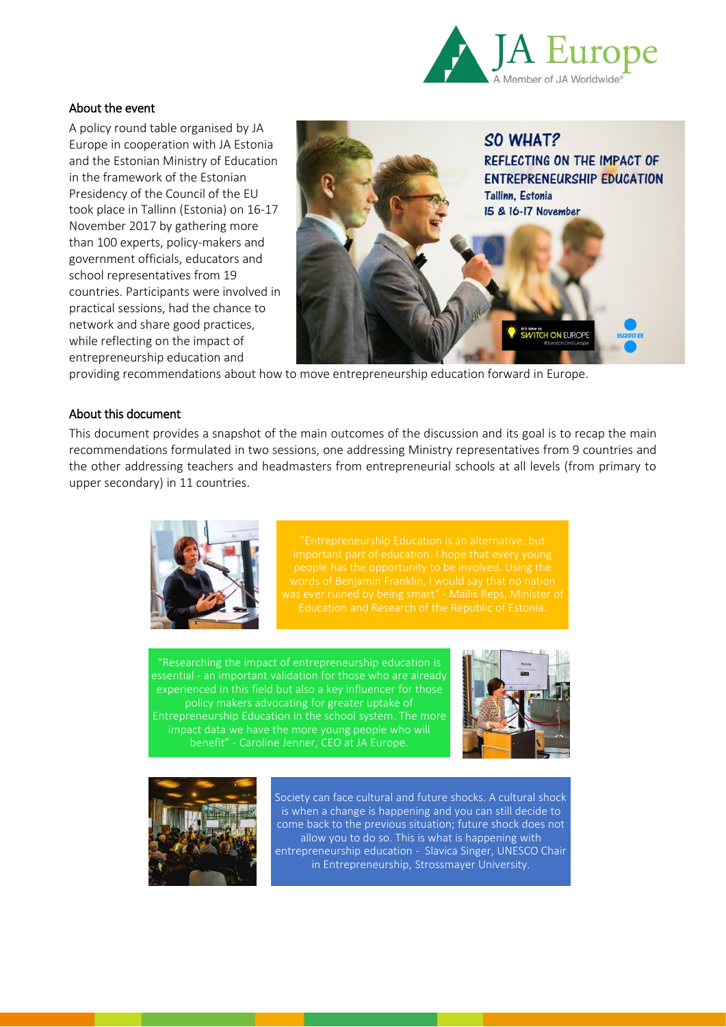

# About the event

A policy round table organised by JA Europe in cooperation with JA Estonia and the Estonian Ministry of Education in the framework of the Estonian Presidency of the Council of the EU took place in Tallinn (Estonia) on 16-17 November 2017 by gathering more than 100 experts, policy-makers and government officials, educators and school representatives from 19 countries. Participants were involved in practical sessions, had the chance to network and share good practices, while reflecting on the impact of entrepreneurship education and



providing recommendations about how to move entrepreneurship education forward in Europe.

# About this document

This document provides a snapshot of the main outcomes of the discussion and its goal is to recap the main recommendations formulated in two sessions, one addressing Ministry representatives from 9 countries and the other addressing teachers and headmasters from entrepreneurial schools at all levels (from primary to upper secondary) in 11 countries.



"Researching the impact of entrepreneurship education is essential - an important validation for those who are already policy makers advocating for greater uptake of Entrepreneurship Education in the school system. The more impact data we have the more young people who will benefit" - Caroline Jenner, CEO at JA Europe.





Society can face cultural and future shocks. A cultural shock is when a change is happening and you can still decide to come back to the previous situation; future shock does not allow you to do so. This is what is happening with entrepreneurship education - Slavica Singer, UNESCO Chair in Entrepreneurship, Strossmayer University.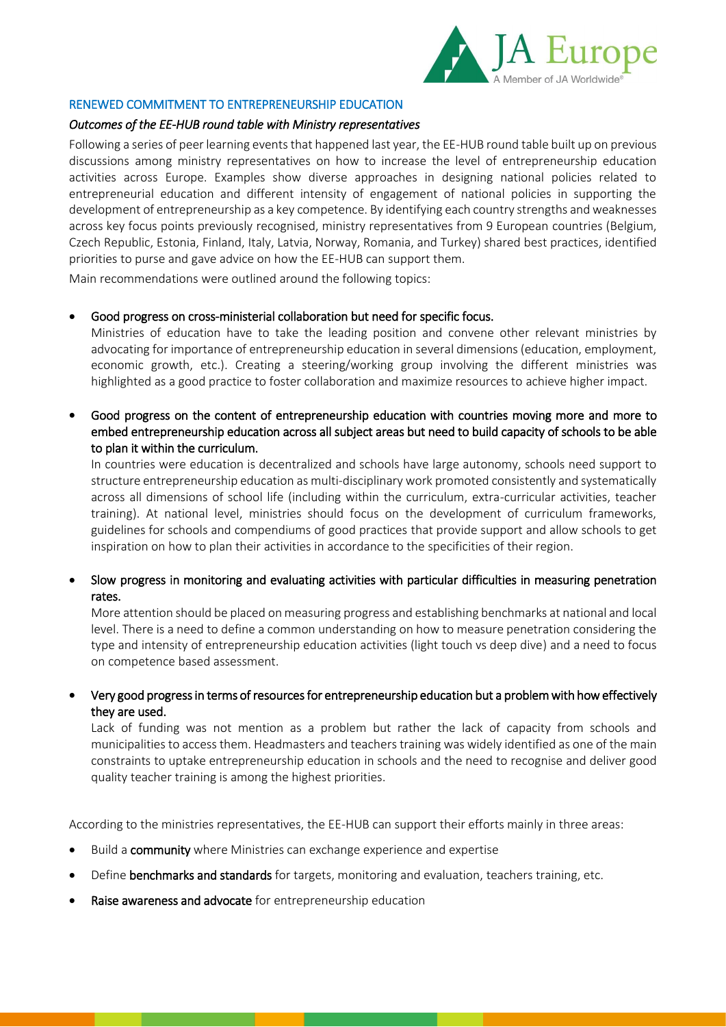

# RENEWED COMMITMENT TO ENTREPRENEURSHIP EDUCATION

# *Outcomes of the EE-HUB round table with Ministry representatives*

Following a series of peer learning events that happened last year, the EE-HUB round table built up on previous discussions among ministry representatives on how to increase the level of entrepreneurship education activities across Europe. Examples show diverse approaches in designing national policies related to entrepreneurial education and different intensity of engagement of national policies in supporting the development of entrepreneurship as a key competence. By identifying each country strengths and weaknesses across key focus points previously recognised, ministry representatives from 9 European countries (Belgium, Czech Republic, Estonia, Finland, Italy, Latvia, Norway, Romania, and Turkey) shared best practices, identified priorities to purse and gave advice on how the EE-HUB can support them.

Main recommendations were outlined around the following topics:

# Good progress on cross-ministerial collaboration but need for specific focus.

Ministries of education have to take the leading position and convene other relevant ministries by advocating for importance of entrepreneurship education in several dimensions (education, employment, economic growth, etc.). Creating a steering/working group involving the different ministries was highlighted as a good practice to foster collaboration and maximize resources to achieve higher impact.

 Good progress on the content of entrepreneurship education with countries moving more and more to embed entrepreneurship education across all subject areas but need to build capacity of schools to be able to plan it within the curriculum.

In countries were education is decentralized and schools have large autonomy, schools need support to structure entrepreneurship education as multi-disciplinary work promoted consistently and systematically across all dimensions of school life (including within the curriculum, extra-curricular activities, teacher training). At national level, ministries should focus on the development of curriculum frameworks, guidelines for schools and compendiums of good practices that provide support and allow schools to get inspiration on how to plan their activities in accordance to the specificities of their region.

 Slow progress in monitoring and evaluating activities with particular difficulties in measuring penetration rates.

More attention should be placed on measuring progress and establishing benchmarks at national and local level. There is a need to define a common understanding on how to measure penetration considering the type and intensity of entrepreneurship education activities (light touch vs deep dive) and a need to focus on competence based assessment.

 Very good progress in terms of resources for entrepreneurship education but a problem with how effectively they are used.

Lack of funding was not mention as a problem but rather the lack of capacity from schools and municipalities to access them. Headmasters and teachers training was widely identified as one of the main constraints to uptake entrepreneurship education in schools and the need to recognise and deliver good quality teacher training is among the highest priorities.

According to the ministries representatives, the EE-HUB can support their efforts mainly in three areas:

- Build a community where Ministries can exchange experience and expertise
- Define benchmarks and standards for targets, monitoring and evaluation, teachers training, etc.
- Raise awareness and advocate for entrepreneurship education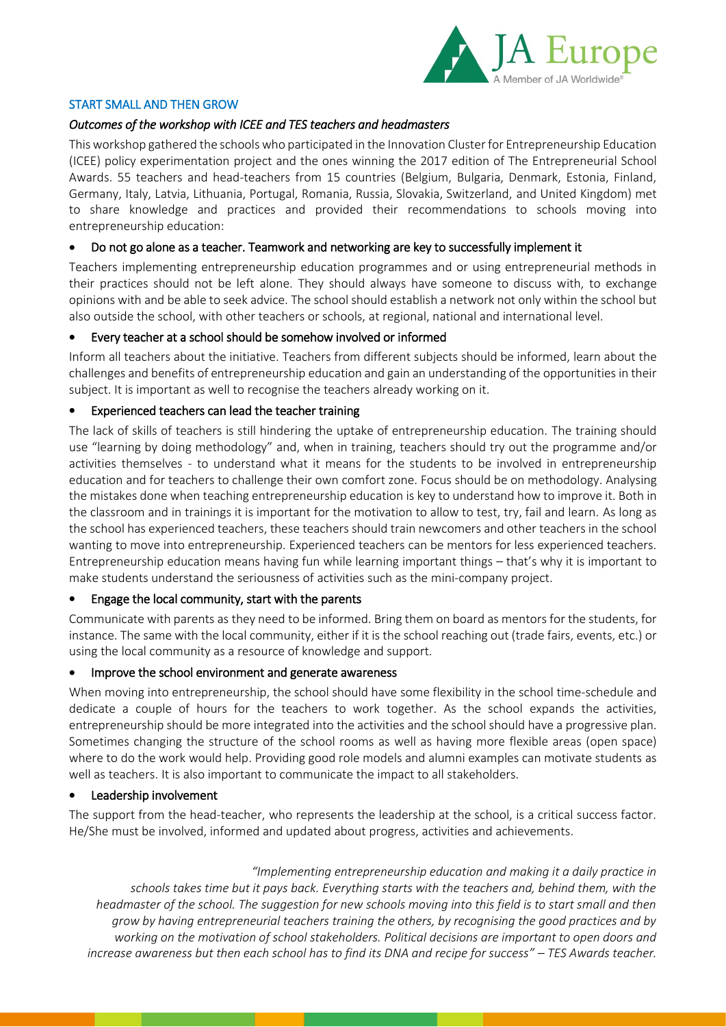

## START SMALL AND THEN GROW

# *Outcomes of the workshop with ICEE and TES teachers and headmasters*

This workshop gathered the schools who participated in the Innovation Cluster for Entrepreneurship Education (ICEE) policy experimentation project and the ones winning the 2017 edition of The Entrepreneurial School Awards. 55 teachers and head-teachers from 15 countries (Belgium, Bulgaria, Denmark, Estonia, Finland, Germany, Italy, Latvia, Lithuania, Portugal, Romania, Russia, Slovakia, Switzerland, and United Kingdom) met to share knowledge and practices and provided their recommendations to schools moving into entrepreneurship education:

#### Do not go alone as a teacher. Teamwork and networking are key to successfully implement it

Teachers implementing entrepreneurship education programmes and or using entrepreneurial methods in their practices should not be left alone. They should always have someone to discuss with, to exchange opinions with and be able to seek advice. The school should establish a network not only within the school but also outside the school, with other teachers or schools, at regional, national and international level.

#### Every teacher at a school should be somehow involved or informed

Inform all teachers about the initiative. Teachers from different subjects should be informed, learn about the challenges and benefits of entrepreneurship education and gain an understanding of the opportunities in their subject. It is important as well to recognise the teachers already working on it.

#### Experienced teachers can lead the teacher training

The lack of skills of teachers is still hindering the uptake of entrepreneurship education. The training should use "learning by doing methodology" and, when in training, teachers should try out the programme and/or activities themselves - to understand what it means for the students to be involved in entrepreneurship education and for teachers to challenge their own comfort zone. Focus should be on methodology. Analysing the mistakes done when teaching entrepreneurship education is key to understand how to improve it. Both in the classroom and in trainings it is important for the motivation to allow to test, try, fail and learn. As long as the school has experienced teachers, these teachers should train newcomers and other teachers in the school wanting to move into entrepreneurship. Experienced teachers can be mentors for less experienced teachers. Entrepreneurship education means having fun while learning important things – that's why it is important to make students understand the seriousness of activities such as the mini-company project.

#### Engage the local community, start with the parents

Communicate with parents as they need to be informed. Bring them on board as mentors for the students, for instance. The same with the local community, either if it is the school reaching out (trade fairs, events, etc.) or using the local community as a resource of knowledge and support.

#### Improve the school environment and generate awareness

When moving into entrepreneurship, the school should have some flexibility in the school time-schedule and dedicate a couple of hours for the teachers to work together. As the school expands the activities, entrepreneurship should be more integrated into the activities and the school should have a progressive plan. Sometimes changing the structure of the school rooms as well as having more flexible areas (open space) where to do the work would help. Providing good role models and alumni examples can motivate students as well as teachers. It is also important to communicate the impact to all stakeholders.

#### Leadership involvement

The support from the head-teacher, who represents the leadership at the school, is a critical success factor. He/She must be involved, informed and updated about progress, activities and achievements.

*"Implementing entrepreneurship education and making it a daily practice in schools takes time but it pays back. Everything starts with the teachers and, behind them, with the headmaster of the school. The suggestion for new schools moving into this field is to start small and then grow by having entrepreneurial teachers training the others, by recognising the good practices and by working on the motivation of school stakeholders. Political decisions are important to open doors and increase awareness but then each school has to find its DNA and recipe for success" – TES Awards teacher.*